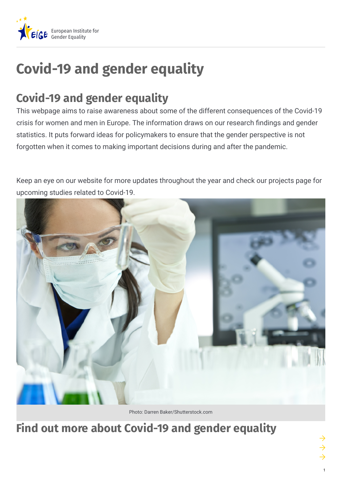

# **Covid-19 and gender equality**

## **Covid-19 and gender equality**

This webpage aims to raise awareness about some of the different consequences of the Covid-19 crisis for women and men in Europe. The information draws on our research findings and gender statistics. It puts forward ideas for policymakers to ensure that the gender perspective is not forgotten when it comes to making important decisions during and after the pandemic.

Keep an eye on our website for more updates throughout the year and check our projects page for upcoming studies related to Covid-19.



Photo: Darren Baker/Shutterstock.com

## **Find out more about Covid-19 and gender equality**

1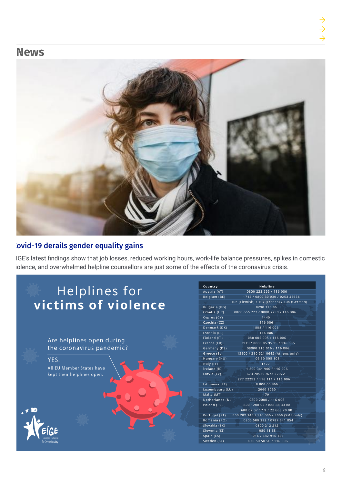### **News**



#### ovid-19 derails gender equality gains

IGE's latest findings show that job losses, reduced working hours, work-life balance pressures, spikes in domestic iolence, and overwhelmed helpline counsellors are just some of the effects of the coronavirus crisis.

## Helplines for victims of violence

Are helplines open during the coronavirus pandemic?

YES. All EU Member States have kept their helplines open.

| Country              | Helpline                                    |
|----------------------|---------------------------------------------|
| Austria (AT)         | 0800 222 555 / 116 006                      |
| Belgium (BE)         | 1712 / 0800 30 030 / 0253 43636             |
|                      | 106 (Flemish) / 107 (French) / 108 (German) |
| <b>Bulgaria (BG)</b> | 0298 176 86                                 |
| Croatia (HR)         | 0800 655 222 / 0800 7799 / 116 006          |
| Cyprus (CY)          | 1440                                        |
| Czechia (CZ)         | 116 006                                     |
| Denmark (DK)         | 1888 / 116 006                              |
| Estonia (EE)         | 116 006                                     |
| Finland (FI)         | 080 005 005 / 116 006                       |
| France (FR)          | 3919 / 0800 05 95 95 / 116 006              |
| Germany (DE)         | 08000 116 016 / 116 006                     |
| Greece (EL)          | 15900 / 210 521 0645 (Athens only)          |
| Hungary (HU)         | 06 80 505 101                               |
| Italy (IT)           | 1522                                        |
| Ireland (IE)         | 1800341900/116006                           |
| Latvia (LV)          | 673 78539 /672 22922                        |
|                      | 277 22292 / 116 111 / 116 006               |
| Lithuania (LT)       | 8 800 66 366                                |
| Luxembourg (LU)      | 2060 1060                                   |
| Malta (MT)           | 179                                         |
| Netherlands (NL)     | 0800 2000 / 116 006                         |
| Poland (PL)          | 800 1200 02 / 888 88 33 88                  |
|                      | 600 07 07 17 9 / 22 668 70 00               |
| Portugal (PT)        | 800 202 148 / 116 006 / 3060 (SMS only)     |
| Romania (RO)         | 0800 500 333 / 0787 541 854                 |
| Slovakia (SK)        | 0800 212 212                                |
| Slovenia (SI)        | 080 11 55                                   |
| Spain (ES)           | 016 / 682 916 136                           |
| Sweden (SE)          | 020 50 50 50 / 116 006                      |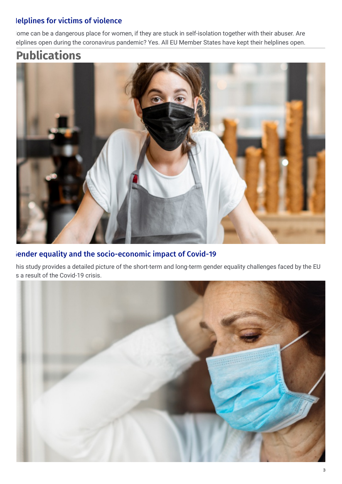#### lelplines for victims of violence

ome can be a dangerous place for women, if they are stuck in self-isolation together with their abuser. Are elplines open during the coronavirus pandemic? Yes. All EU Member States have kept their helplines open.

## **Publications**



#### iender equality and the [socio-economic](https://eige.europa.eu/publications/gender-equality-and-socio-economic-impact-covid-19-pandemic) impact of Covid-19

his study provides a detailed picture of the short-term and long-term gender equality challenges faced by the EU s a result of the Covid-19 crisis.